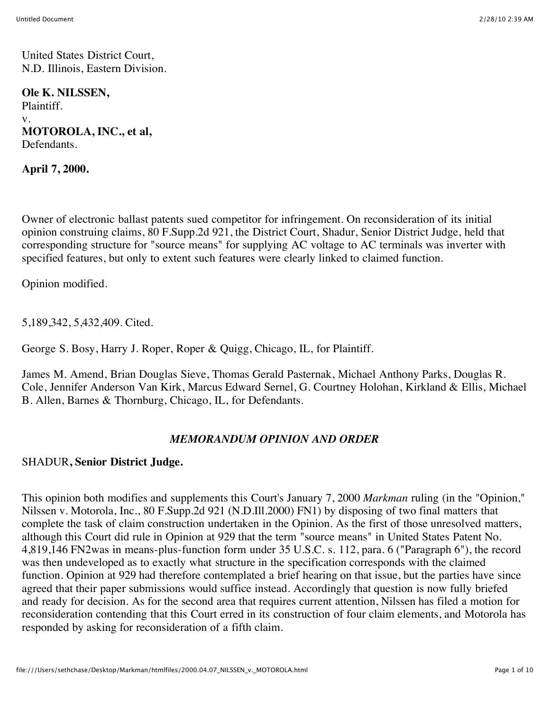United States District Court, N.D. Illinois, Eastern Division.

**Ole K. NILSSEN,** Plaintiff. v. **MOTOROLA, INC., et al,** Defendants.

**April 7, 2000.**

Owner of electronic ballast patents sued competitor for infringement. On reconsideration of its initial opinion construing claims, 80 F.Supp.2d 921, the District Court, Shadur, Senior District Judge, held that corresponding structure for "source means" for supplying AC voltage to AC terminals was inverter with specified features, but only to extent such features were clearly linked to claimed function.

Opinion modified.

5,189,342, 5,432,409. Cited.

George S. Bosy, Harry J. Roper, Roper & Quigg, Chicago, IL, for Plaintiff.

James M. Amend, Brian Douglas Sieve, Thomas Gerald Pasternak, Michael Anthony Parks, Douglas R. Cole, Jennifer Anderson Van Kirk, Marcus Edward Sernel, G. Courtney Holohan, Kirkland & Ellis, Michael B. Allen, Barnes & Thornburg, Chicago, IL, for Defendants.

#### *MEMORANDUM OPINION AND ORDER*

#### SHADUR**, Senior District Judge.**

This opinion both modifies and supplements this Court's January 7, 2000 *Markman* ruling (in the "Opinion," Nilssen v. Motorola, Inc., 80 F.Supp.2d 921 (N.D.Ill.2000) FN1) by disposing of two final matters that complete the task of claim construction undertaken in the Opinion. As the first of those unresolved matters, although this Court did rule in Opinion at 929 that the term "source means" in United States Patent No. 4,819,146 FN2was in means-plus-function form under 35 U.S.C. s. 112, para. 6 ("Paragraph 6"), the record was then undeveloped as to exactly what structure in the specification corresponds with the claimed function. Opinion at 929 had therefore contemplated a brief hearing on that issue, but the parties have since agreed that their paper submissions would suffice instead. Accordingly that question is now fully briefed and ready for decision. As for the second area that requires current attention, Nilssen has filed a motion for reconsideration contending that this Court erred in its construction of four claim elements, and Motorola has responded by asking for reconsideration of a fifth claim.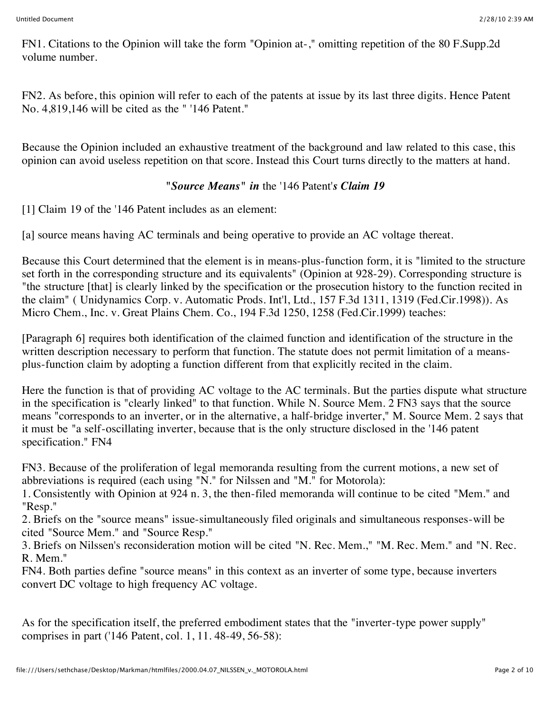FN1. Citations to the Opinion will take the form "Opinion at-," omitting repetition of the 80 F.Supp.2d volume number.

FN2. As before, this opinion will refer to each of the patents at issue by its last three digits. Hence Patent No. 4,819,146 will be cited as the " '146 Patent."

Because the Opinion included an exhaustive treatment of the background and law related to this case, this opinion can avoid useless repetition on that score. Instead this Court turns directly to the matters at hand.

### *"Source Means" in* the '146 Patent'*s Claim 19*

[1] Claim 19 of the '146 Patent includes as an element:

[a] source means having AC terminals and being operative to provide an AC voltage thereat.

Because this Court determined that the element is in means-plus-function form, it is "limited to the structure set forth in the corresponding structure and its equivalents" (Opinion at 928-29). Corresponding structure is "the structure [that] is clearly linked by the specification or the prosecution history to the function recited in the claim" ( Unidynamics Corp. v. Automatic Prods. Int'l, Ltd., 157 F.3d 1311, 1319 (Fed.Cir.1998)). As Micro Chem., Inc. v. Great Plains Chem. Co., 194 F.3d 1250, 1258 (Fed.Cir.1999) teaches:

[Paragraph 6] requires both identification of the claimed function and identification of the structure in the written description necessary to perform that function. The statute does not permit limitation of a meansplus-function claim by adopting a function different from that explicitly recited in the claim.

Here the function is that of providing AC voltage to the AC terminals. But the parties dispute what structure in the specification is "clearly linked" to that function. While N. Source Mem. 2 FN3 says that the source means "corresponds to an inverter, or in the alternative, a half-bridge inverter," M. Source Mem. 2 says that it must be "a self-oscillating inverter, because that is the only structure disclosed in the '146 patent specification." FN4

FN3. Because of the proliferation of legal memoranda resulting from the current motions, a new set of abbreviations is required (each using "N." for Nilssen and "M." for Motorola):

1. Consistently with Opinion at 924 n. 3, the then-filed memoranda will continue to be cited "Mem." and "Resp."

2. Briefs on the "source means" issue-simultaneously filed originals and simultaneous responses-will be cited "Source Mem." and "Source Resp."

3. Briefs on Nilssen's reconsideration motion will be cited "N. Rec. Mem.," "M. Rec. Mem." and "N. Rec. R. Mem."

FN4. Both parties define "source means" in this context as an inverter of some type, because inverters convert DC voltage to high frequency AC voltage.

As for the specification itself, the preferred embodiment states that the "inverter-type power supply" comprises in part ('146 Patent, col. 1, 11. 48-49, 56-58):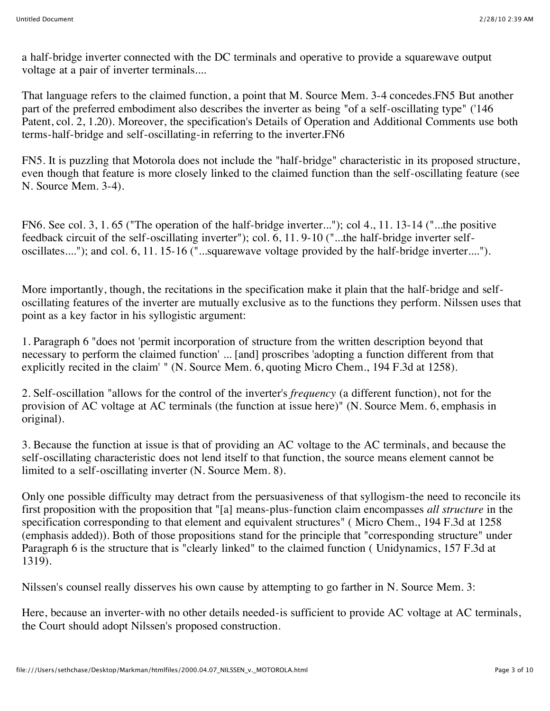a half-bridge inverter connected with the DC terminals and operative to provide a squarewave output voltage at a pair of inverter terminals....

That language refers to the claimed function, a point that M. Source Mem. 3-4 concedes.FN5 But another part of the preferred embodiment also describes the inverter as being "of a self-oscillating type" ('146 Patent, col. 2, 1.20). Moreover, the specification's Details of Operation and Additional Comments use both terms-half-bridge and self-oscillating-in referring to the inverter.FN6

FN5. It is puzzling that Motorola does not include the "half-bridge" characteristic in its proposed structure, even though that feature is more closely linked to the claimed function than the self-oscillating feature (see N. Source Mem. 3-4).

FN6. See col. 3, 1. 65 ("The operation of the half-bridge inverter..."); col 4., 11. 13-14 ("...the positive feedback circuit of the self-oscillating inverter"); col. 6, 11. 9-10 ("...the half-bridge inverter selfoscillates...."); and col. 6, 11. 15-16 ("...squarewave voltage provided by the half-bridge inverter....").

More importantly, though, the recitations in the specification make it plain that the half-bridge and selfoscillating features of the inverter are mutually exclusive as to the functions they perform. Nilssen uses that point as a key factor in his syllogistic argument:

1. Paragraph 6 "does not 'permit incorporation of structure from the written description beyond that necessary to perform the claimed function' ... [and] proscribes 'adopting a function different from that explicitly recited in the claim' " (N. Source Mem. 6, quoting Micro Chem., 194 F.3d at 1258).

2. Self-oscillation "allows for the control of the inverter's *frequency* (a different function), not for the provision of AC voltage at AC terminals (the function at issue here)" (N. Source Mem. 6, emphasis in original).

3. Because the function at issue is that of providing an AC voltage to the AC terminals, and because the self-oscillating characteristic does not lend itself to that function, the source means element cannot be limited to a self-oscillating inverter (N. Source Mem. 8).

Only one possible difficulty may detract from the persuasiveness of that syllogism-the need to reconcile its first proposition with the proposition that "[a] means-plus-function claim encompasses *all structure* in the specification corresponding to that element and equivalent structures" ( Micro Chem., 194 F.3d at 1258 (emphasis added)). Both of those propositions stand for the principle that "corresponding structure" under Paragraph 6 is the structure that is "clearly linked" to the claimed function ( Unidynamics, 157 F.3d at 1319).

Nilssen's counsel really disserves his own cause by attempting to go farther in N. Source Mem. 3:

Here, because an inverter-with no other details needed-is sufficient to provide AC voltage at AC terminals, the Court should adopt Nilssen's proposed construction.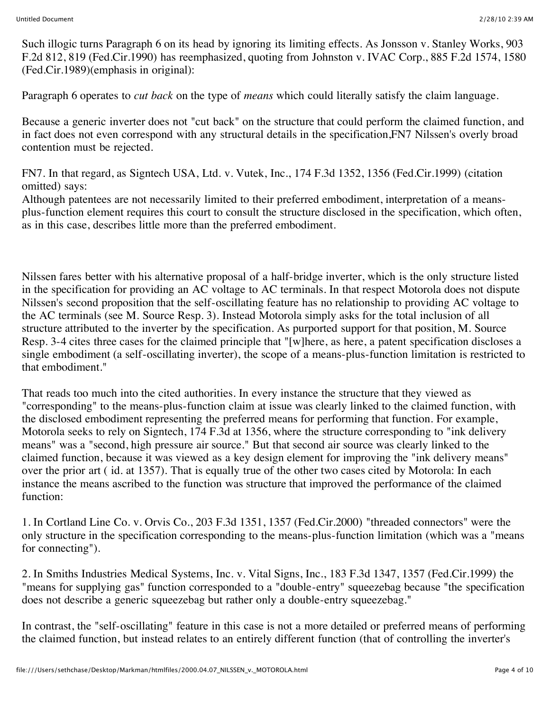Such illogic turns Paragraph 6 on its head by ignoring its limiting effects. As Jonsson v. Stanley Works, 903 F.2d 812, 819 (Fed.Cir.1990) has reemphasized, quoting from Johnston v. IVAC Corp., 885 F.2d 1574, 1580 (Fed.Cir.1989)(emphasis in original):

Paragraph 6 operates to *cut back* on the type of *means* which could literally satisfy the claim language.

Because a generic inverter does not "cut back" on the structure that could perform the claimed function, and in fact does not even correspond with any structural details in the specification,FN7 Nilssen's overly broad contention must be rejected.

FN7. In that regard, as Signtech USA, Ltd. v. Vutek, Inc., 174 F.3d 1352, 1356 (Fed.Cir.1999) (citation omitted) says:

Although patentees are not necessarily limited to their preferred embodiment, interpretation of a meansplus-function element requires this court to consult the structure disclosed in the specification, which often, as in this case, describes little more than the preferred embodiment.

Nilssen fares better with his alternative proposal of a half-bridge inverter, which is the only structure listed in the specification for providing an AC voltage to AC terminals. In that respect Motorola does not dispute Nilssen's second proposition that the self-oscillating feature has no relationship to providing AC voltage to the AC terminals (see M. Source Resp. 3). Instead Motorola simply asks for the total inclusion of all structure attributed to the inverter by the specification. As purported support for that position, M. Source Resp. 3-4 cites three cases for the claimed principle that "[w]here, as here, a patent specification discloses a single embodiment (a self-oscillating inverter), the scope of a means-plus-function limitation is restricted to that embodiment."

That reads too much into the cited authorities. In every instance the structure that they viewed as "corresponding" to the means-plus-function claim at issue was clearly linked to the claimed function, with the disclosed embodiment representing the preferred means for performing that function. For example, Motorola seeks to rely on Signtech, 174 F.3d at 1356, where the structure corresponding to "ink delivery means" was a "second, high pressure air source." But that second air source was clearly linked to the claimed function, because it was viewed as a key design element for improving the "ink delivery means" over the prior art ( id. at 1357). That is equally true of the other two cases cited by Motorola: In each instance the means ascribed to the function was structure that improved the performance of the claimed function:

1. In Cortland Line Co. v. Orvis Co., 203 F.3d 1351, 1357 (Fed.Cir.2000) "threaded connectors" were the only structure in the specification corresponding to the means-plus-function limitation (which was a "means for connecting").

2. In Smiths Industries Medical Systems, Inc. v. Vital Signs, Inc., 183 F.3d 1347, 1357 (Fed.Cir.1999) the "means for supplying gas" function corresponded to a "double-entry" squeezebag because "the specification does not describe a generic squeezebag but rather only a double-entry squeezebag."

In contrast, the "self-oscillating" feature in this case is not a more detailed or preferred means of performing the claimed function, but instead relates to an entirely different function (that of controlling the inverter's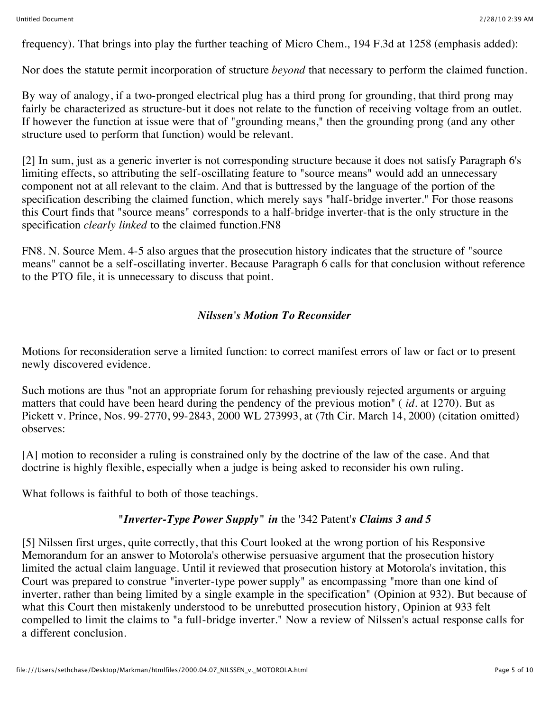frequency). That brings into play the further teaching of Micro Chem., 194 F.3d at 1258 (emphasis added):

Nor does the statute permit incorporation of structure *beyond* that necessary to perform the claimed function.

By way of analogy, if a two-pronged electrical plug has a third prong for grounding, that third prong may fairly be characterized as structure-but it does not relate to the function of receiving voltage from an outlet. If however the function at issue were that of "grounding means," then the grounding prong (and any other structure used to perform that function) would be relevant.

[2] In sum, just as a generic inverter is not corresponding structure because it does not satisfy Paragraph 6's limiting effects, so attributing the self-oscillating feature to "source means" would add an unnecessary component not at all relevant to the claim. And that is buttressed by the language of the portion of the specification describing the claimed function, which merely says "half-bridge inverter." For those reasons this Court finds that "source means" corresponds to a half-bridge inverter-that is the only structure in the specification *clearly linked* to the claimed function.FN8

FN8. N. Source Mem. 4-5 also argues that the prosecution history indicates that the structure of "source means" cannot be a self-oscillating inverter. Because Paragraph 6 calls for that conclusion without reference to the PTO file, it is unnecessary to discuss that point.

### *Nilssen's Motion To Reconsider*

Motions for reconsideration serve a limited function: to correct manifest errors of law or fact or to present newly discovered evidence.

Such motions are thus "not an appropriate forum for rehashing previously rejected arguments or arguing matters that could have been heard during the pendency of the previous motion" ( *id.* at 1270). But as Pickett v. Prince, Nos. 99-2770, 99-2843, 2000 WL 273993, at (7th Cir. March 14, 2000) (citation omitted) observes:

[A] motion to reconsider a ruling is constrained only by the doctrine of the law of the case. And that doctrine is highly flexible, especially when a judge is being asked to reconsider his own ruling.

What follows is faithful to both of those teachings.

# *"Inverter-Type Power Supply" in* the '342 Patent'*s Claims 3 and 5*

[5] Nilssen first urges, quite correctly, that this Court looked at the wrong portion of his Responsive Memorandum for an answer to Motorola's otherwise persuasive argument that the prosecution history limited the actual claim language. Until it reviewed that prosecution history at Motorola's invitation, this Court was prepared to construe "inverter-type power supply" as encompassing "more than one kind of inverter, rather than being limited by a single example in the specification" (Opinion at 932). But because of what this Court then mistakenly understood to be unrebutted prosecution history, Opinion at 933 felt compelled to limit the claims to "a full-bridge inverter." Now a review of Nilssen's actual response calls for a different conclusion.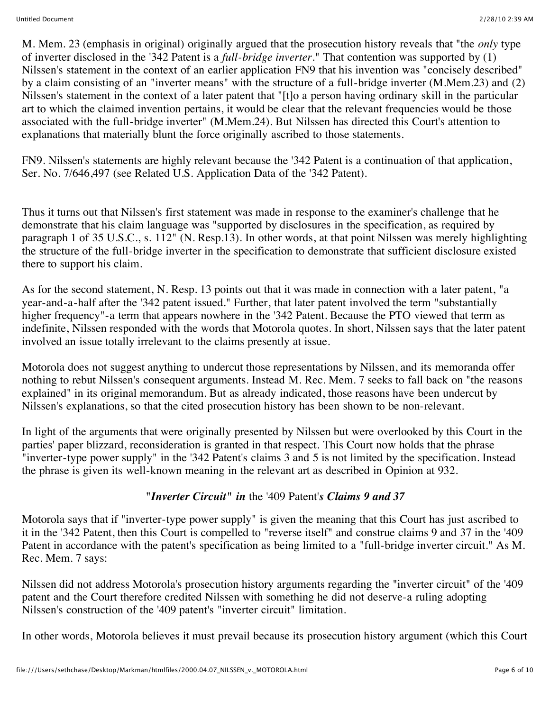M. Mem. 23 (emphasis in original) originally argued that the prosecution history reveals that "the *only* type of inverter disclosed in the '342 Patent is a *full-bridge inverter.*" That contention was supported by (1) Nilssen's statement in the context of an earlier application FN9 that his invention was "concisely described" by a claim consisting of an "inverter means" with the structure of a full-bridge inverter (M.Mem.23) and (2) Nilssen's statement in the context of a later patent that "[t]o a person having ordinary skill in the particular art to which the claimed invention pertains, it would be clear that the relevant frequencies would be those associated with the full-bridge inverter" (M.Mem.24). But Nilssen has directed this Court's attention to explanations that materially blunt the force originally ascribed to those statements.

FN9. Nilssen's statements are highly relevant because the '342 Patent is a continuation of that application, Ser. No. 7/646,497 (see Related U.S. Application Data of the '342 Patent).

Thus it turns out that Nilssen's first statement was made in response to the examiner's challenge that he demonstrate that his claim language was "supported by disclosures in the specification, as required by paragraph 1 of 35 U.S.C., s. 112" (N. Resp.13). In other words, at that point Nilssen was merely highlighting the structure of the full-bridge inverter in the specification to demonstrate that sufficient disclosure existed there to support his claim.

As for the second statement, N. Resp. 13 points out that it was made in connection with a later patent, "a year-and-a-half after the '342 patent issued." Further, that later patent involved the term "substantially higher frequency"-a term that appears nowhere in the '342 Patent. Because the PTO viewed that term as indefinite, Nilssen responded with the words that Motorola quotes. In short, Nilssen says that the later patent involved an issue totally irrelevant to the claims presently at issue.

Motorola does not suggest anything to undercut those representations by Nilssen, and its memoranda offer nothing to rebut Nilssen's consequent arguments. Instead M. Rec. Mem. 7 seeks to fall back on "the reasons explained" in its original memorandum. But as already indicated, those reasons have been undercut by Nilssen's explanations, so that the cited prosecution history has been shown to be non-relevant.

In light of the arguments that were originally presented by Nilssen but were overlooked by this Court in the parties' paper blizzard, reconsideration is granted in that respect. This Court now holds that the phrase "inverter-type power supply" in the '342 Patent's claims 3 and 5 is not limited by the specification. Instead the phrase is given its well-known meaning in the relevant art as described in Opinion at 932.

# *"Inverter Circuit" in* the '409 Patent'*s Claims 9 and 37*

Motorola says that if "inverter-type power supply" is given the meaning that this Court has just ascribed to it in the '342 Patent, then this Court is compelled to "reverse itself" and construe claims 9 and 37 in the '409 Patent in accordance with the patent's specification as being limited to a "full-bridge inverter circuit." As M. Rec. Mem. 7 says:

Nilssen did not address Motorola's prosecution history arguments regarding the "inverter circuit" of the '409 patent and the Court therefore credited Nilssen with something he did not deserve-a ruling adopting Nilssen's construction of the '409 patent's "inverter circuit" limitation.

In other words, Motorola believes it must prevail because its prosecution history argument (which this Court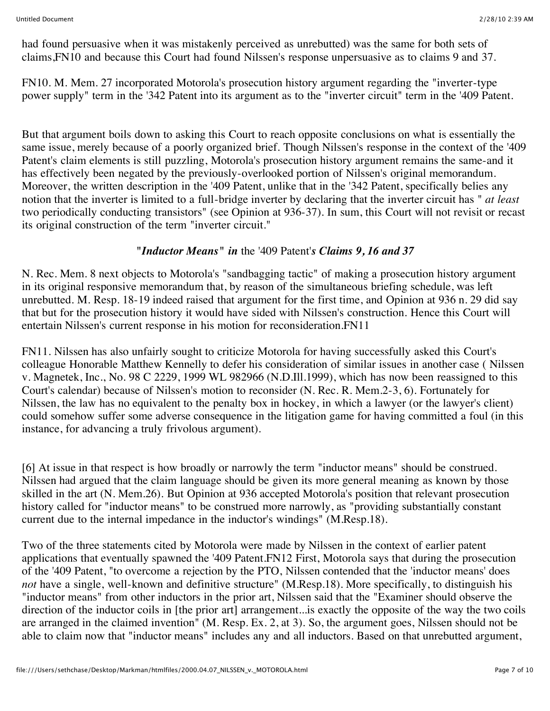had found persuasive when it was mistakenly perceived as unrebutted) was the same for both sets of claims,FN10 and because this Court had found Nilssen's response unpersuasive as to claims 9 and 37.

FN10. M. Mem. 27 incorporated Motorola's prosecution history argument regarding the "inverter-type power supply" term in the '342 Patent into its argument as to the "inverter circuit" term in the '409 Patent.

But that argument boils down to asking this Court to reach opposite conclusions on what is essentially the same issue, merely because of a poorly organized brief. Though Nilssen's response in the context of the '409 Patent's claim elements is still puzzling, Motorola's prosecution history argument remains the same-and it has effectively been negated by the previously-overlooked portion of Nilssen's original memorandum. Moreover, the written description in the '409 Patent, unlike that in the '342 Patent, specifically belies any notion that the inverter is limited to a full-bridge inverter by declaring that the inverter circuit has " *at least* two periodically conducting transistors" (see Opinion at 936-37). In sum, this Court will not revisit or recast its original construction of the term "inverter circuit."

# *"Inductor Means" in* the '409 Patent'*s Claims 9, 16 and 37*

N. Rec. Mem. 8 next objects to Motorola's "sandbagging tactic" of making a prosecution history argument in its original responsive memorandum that, by reason of the simultaneous briefing schedule, was left unrebutted. M. Resp. 18-19 indeed raised that argument for the first time, and Opinion at 936 n. 29 did say that but for the prosecution history it would have sided with Nilssen's construction. Hence this Court will entertain Nilssen's current response in his motion for reconsideration.FN11

FN11. Nilssen has also unfairly sought to criticize Motorola for having successfully asked this Court's colleague Honorable Matthew Kennelly to defer his consideration of similar issues in another case ( Nilssen v. Magnetek, Inc., No. 98 C 2229, 1999 WL 982966 (N.D.Ill.1999), which has now been reassigned to this Court's calendar) because of Nilssen's motion to reconsider (N. Rec. R. Mem.2-3, 6). Fortunately for Nilssen, the law has no equivalent to the penalty box in hockey, in which a lawyer (or the lawyer's client) could somehow suffer some adverse consequence in the litigation game for having committed a foul (in this instance, for advancing a truly frivolous argument).

[6] At issue in that respect is how broadly or narrowly the term "inductor means" should be construed. Nilssen had argued that the claim language should be given its more general meaning as known by those skilled in the art (N. Mem.26). But Opinion at 936 accepted Motorola's position that relevant prosecution history called for "inductor means" to be construed more narrowly, as "providing substantially constant current due to the internal impedance in the inductor's windings" (M.Resp.18).

Two of the three statements cited by Motorola were made by Nilssen in the context of earlier patent applications that eventually spawned the '409 Patent.FN12 First, Motorola says that during the prosecution of the '409 Patent, "to overcome a rejection by the PTO, Nilssen contended that the 'inductor means' does *not* have a single, well-known and definitive structure" (M.Resp.18). More specifically, to distinguish his "inductor means" from other inductors in the prior art, Nilssen said that the "Examiner should observe the direction of the inductor coils in [the prior art] arrangement... is exactly the opposite of the way the two coils are arranged in the claimed invention" (M. Resp. Ex. 2, at 3). So, the argument goes, Nilssen should not be able to claim now that "inductor means" includes any and all inductors. Based on that unrebutted argument,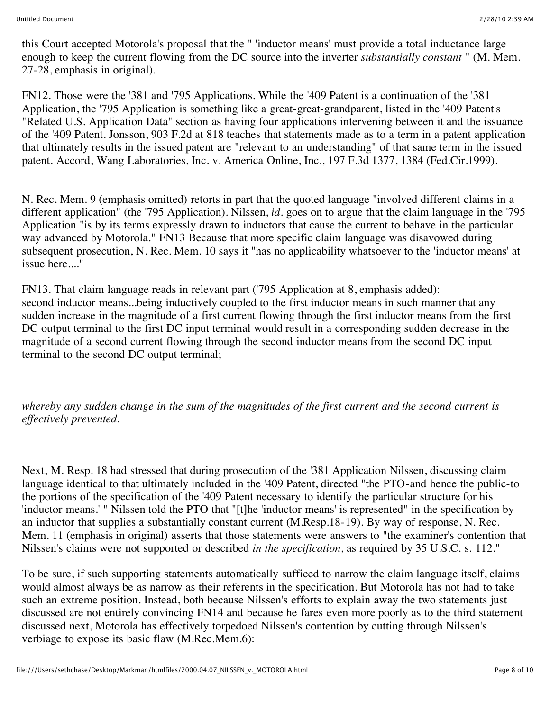this Court accepted Motorola's proposal that the " 'inductor means' must provide a total inductance large enough to keep the current flowing from the DC source into the inverter *substantially constant* " (M. Mem. 27-28, emphasis in original).

FN12. Those were the '381 and '795 Applications. While the '409 Patent is a continuation of the '381 Application, the '795 Application is something like a great-great-grandparent, listed in the '409 Patent's "Related U.S. Application Data" section as having four applications intervening between it and the issuance of the '409 Patent. Jonsson, 903 F.2d at 818 teaches that statements made as to a term in a patent application that ultimately results in the issued patent are "relevant to an understanding" of that same term in the issued patent. Accord, Wang Laboratories, Inc. v. America Online, Inc., 197 F.3d 1377, 1384 (Fed.Cir.1999).

N. Rec. Mem. 9 (emphasis omitted) retorts in part that the quoted language "involved different claims in a different application" (the '795 Application). Nilssen, *id.* goes on to argue that the claim language in the '795 Application "is by its terms expressly drawn to inductors that cause the current to behave in the particular way advanced by Motorola." FN13 Because that more specific claim language was disavowed during subsequent prosecution, N. Rec. Mem. 10 says it "has no applicability whatsoever to the 'inductor means' at issue here...."

FN13. That claim language reads in relevant part ('795 Application at 8, emphasis added): second inductor means...being inductively coupled to the first inductor means in such manner that any sudden increase in the magnitude of a first current flowing through the first inductor means from the first DC output terminal to the first DC input terminal would result in a corresponding sudden decrease in the magnitude of a second current flowing through the second inductor means from the second DC input terminal to the second DC output terminal;

*whereby any sudden change in the sum of the magnitudes of the first current and the second current is effectively prevented.*

Next, M. Resp. 18 had stressed that during prosecution of the '381 Application Nilssen, discussing claim language identical to that ultimately included in the '409 Patent, directed "the PTO-and hence the public-to the portions of the specification of the '409 Patent necessary to identify the particular structure for his 'inductor means.' " Nilssen told the PTO that "[t]he 'inductor means' is represented" in the specification by an inductor that supplies a substantially constant current (M.Resp.18-19). By way of response, N. Rec. Mem. 11 (emphasis in original) asserts that those statements were answers to "the examiner's contention that Nilssen's claims were not supported or described *in the specification,* as required by 35 U.S.C. s. 112."

To be sure, if such supporting statements automatically sufficed to narrow the claim language itself, claims would almost always be as narrow as their referents in the specification. But Motorola has not had to take such an extreme position. Instead, both because Nilssen's efforts to explain away the two statements just discussed are not entirely convincing FN14 and because he fares even more poorly as to the third statement discussed next, Motorola has effectively torpedoed Nilssen's contention by cutting through Nilssen's verbiage to expose its basic flaw (M.Rec.Mem.6):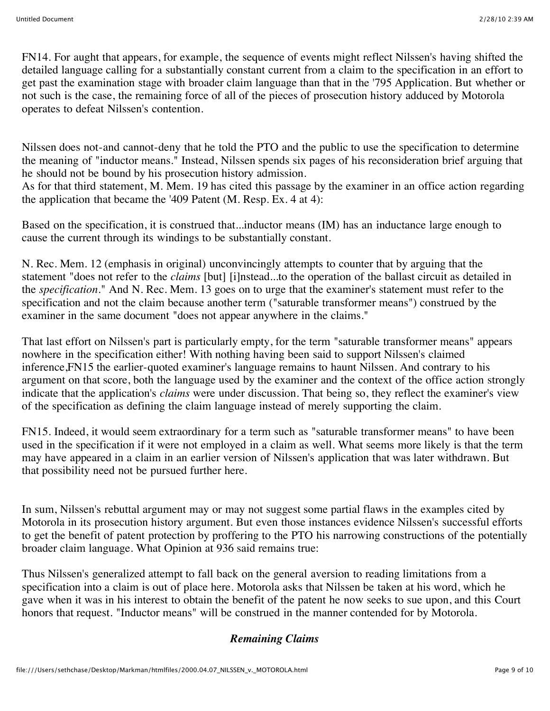FN14. For aught that appears, for example, the sequence of events might reflect Nilssen's having shifted the detailed language calling for a substantially constant current from a claim to the specification in an effort to get past the examination stage with broader claim language than that in the '795 Application. But whether or not such is the case, the remaining force of all of the pieces of prosecution history adduced by Motorola operates to defeat Nilssen's contention.

Nilssen does not-and cannot-deny that he told the PTO and the public to use the specification to determine the meaning of "inductor means." Instead, Nilssen spends six pages of his reconsideration brief arguing that he should not be bound by his prosecution history admission.

As for that third statement, M. Mem. 19 has cited this passage by the examiner in an office action regarding the application that became the '409 Patent (M. Resp. Ex. 4 at 4):

Based on the specification, it is construed that...inductor means (IM) has an inductance large enough to cause the current through its windings to be substantially constant.

N. Rec. Mem. 12 (emphasis in original) unconvincingly attempts to counter that by arguing that the statement "does not refer to the *claims* [but] [i]nstead...to the operation of the ballast circuit as detailed in the *specification.*" And N. Rec. Mem. 13 goes on to urge that the examiner's statement must refer to the specification and not the claim because another term ("saturable transformer means") construed by the examiner in the same document "does not appear anywhere in the claims."

That last effort on Nilssen's part is particularly empty, for the term "saturable transformer means" appears nowhere in the specification either! With nothing having been said to support Nilssen's claimed inference,FN15 the earlier-quoted examiner's language remains to haunt Nilssen. And contrary to his argument on that score, both the language used by the examiner and the context of the office action strongly indicate that the application's *claims* were under discussion. That being so, they reflect the examiner's view of the specification as defining the claim language instead of merely supporting the claim.

FN15. Indeed, it would seem extraordinary for a term such as "saturable transformer means" to have been used in the specification if it were not employed in a claim as well. What seems more likely is that the term may have appeared in a claim in an earlier version of Nilssen's application that was later withdrawn. But that possibility need not be pursued further here.

In sum, Nilssen's rebuttal argument may or may not suggest some partial flaws in the examples cited by Motorola in its prosecution history argument. But even those instances evidence Nilssen's successful efforts to get the benefit of patent protection by proffering to the PTO his narrowing constructions of the potentially broader claim language. What Opinion at 936 said remains true:

Thus Nilssen's generalized attempt to fall back on the general aversion to reading limitations from a specification into a claim is out of place here. Motorola asks that Nilssen be taken at his word, which he gave when it was in his interest to obtain the benefit of the patent he now seeks to sue upon, and this Court honors that request. "Inductor means" will be construed in the manner contended for by Motorola.

# *Remaining Claims*